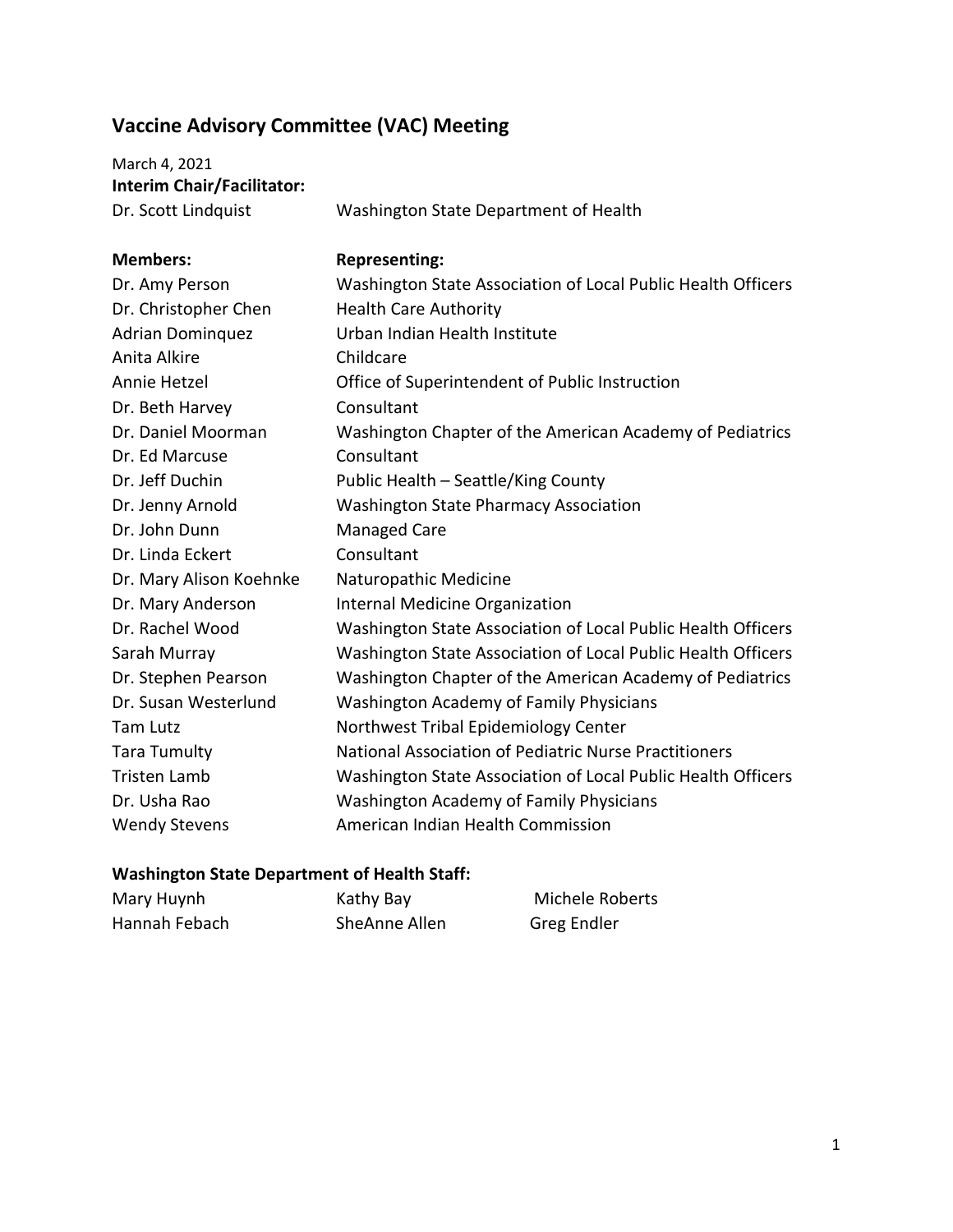## **Vaccine Advisory Committee (VAC) Meeting**

March 4, 2021 **Interim Chair/Facilitator:**

Dr. Scott Lindquist Washington State Department of Health

| <b>Members:</b>         | <b>Representing:</b>                                         |
|-------------------------|--------------------------------------------------------------|
| Dr. Amy Person          | Washington State Association of Local Public Health Officers |
| Dr. Christopher Chen    | <b>Health Care Authority</b>                                 |
| <b>Adrian Dominguez</b> | Urban Indian Health Institute                                |
| Anita Alkire            | Childcare                                                    |
| Annie Hetzel            | Office of Superintendent of Public Instruction               |
| Dr. Beth Harvey         | Consultant                                                   |
| Dr. Daniel Moorman      | Washington Chapter of the American Academy of Pediatrics     |
| Dr. Ed Marcuse          | Consultant                                                   |
| Dr. Jeff Duchin         | Public Health - Seattle/King County                          |
| Dr. Jenny Arnold        | <b>Washington State Pharmacy Association</b>                 |
| Dr. John Dunn           | <b>Managed Care</b>                                          |
| Dr. Linda Eckert        | Consultant                                                   |
| Dr. Mary Alison Koehnke | Naturopathic Medicine                                        |
| Dr. Mary Anderson       | <b>Internal Medicine Organization</b>                        |
| Dr. Rachel Wood         | Washington State Association of Local Public Health Officers |
| Sarah Murray            | Washington State Association of Local Public Health Officers |
| Dr. Stephen Pearson     | Washington Chapter of the American Academy of Pediatrics     |
| Dr. Susan Westerlund    | Washington Academy of Family Physicians                      |
| <b>Tam Lutz</b>         | Northwest Tribal Epidemiology Center                         |
| <b>Tara Tumulty</b>     | National Association of Pediatric Nurse Practitioners        |
| <b>Tristen Lamb</b>     | Washington State Association of Local Public Health Officers |
| Dr. Usha Rao            | <b>Washington Academy of Family Physicians</b>               |
| <b>Wendy Stevens</b>    | American Indian Health Commission                            |

## **Washington State Department of Health Staff:**

| Mary Huynh    | Kathy Bay     | Michele Roberts |
|---------------|---------------|-----------------|
| Hannah Febach | SheAnne Allen | Greg Endler     |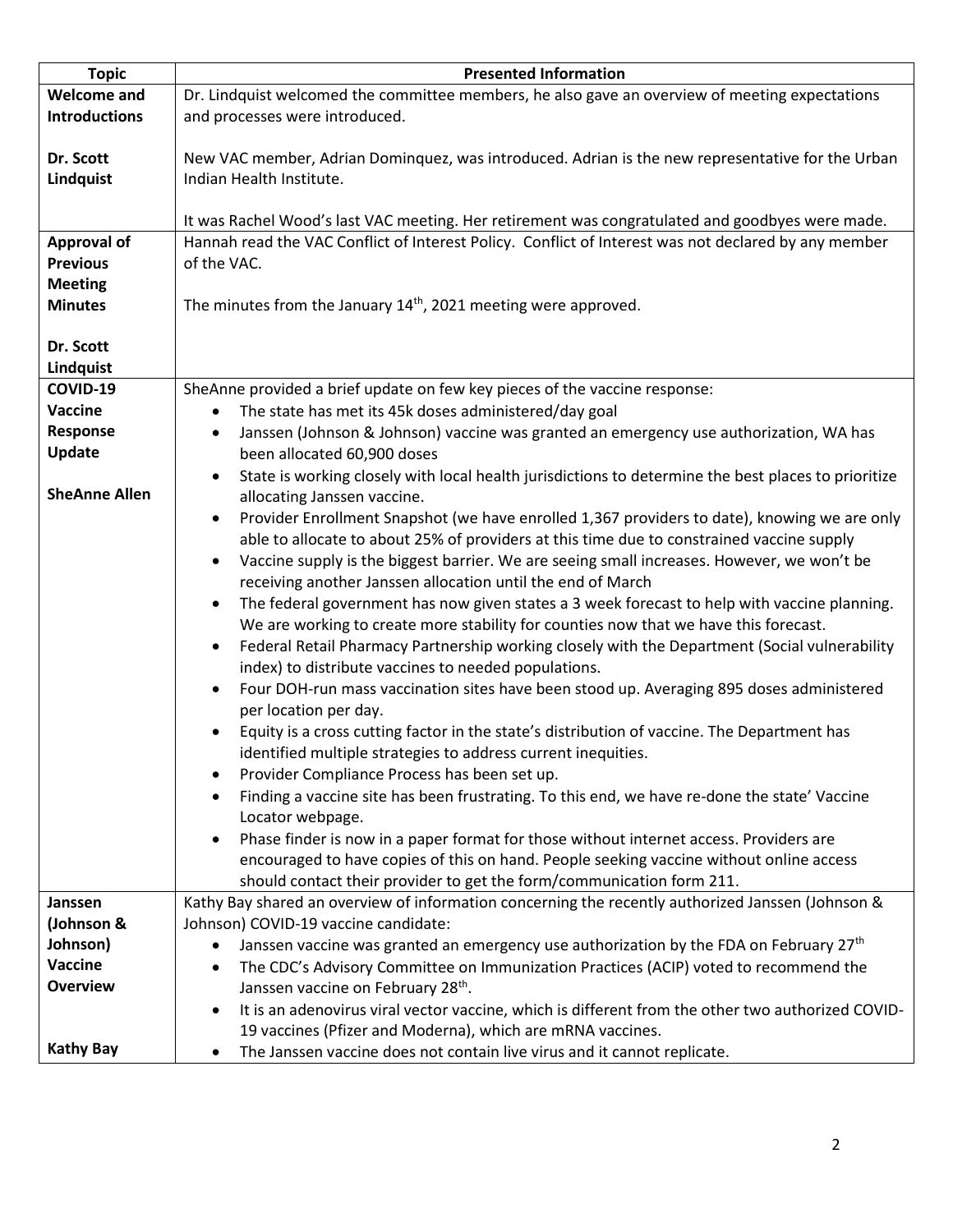| <b>Topic</b>                      | <b>Presented Information</b>                                                                               |
|-----------------------------------|------------------------------------------------------------------------------------------------------------|
| <b>Welcome and</b>                | Dr. Lindquist welcomed the committee members, he also gave an overview of meeting expectations             |
| <b>Introductions</b>              | and processes were introduced.                                                                             |
|                                   |                                                                                                            |
| Dr. Scott                         | New VAC member, Adrian Dominquez, was introduced. Adrian is the new representative for the Urban           |
| Lindquist                         | Indian Health Institute.                                                                                   |
|                                   |                                                                                                            |
|                                   | It was Rachel Wood's last VAC meeting. Her retirement was congratulated and goodbyes were made.            |
| <b>Approval of</b>                | Hannah read the VAC Conflict of Interest Policy. Conflict of Interest was not declared by any member       |
| <b>Previous</b>                   | of the VAC.                                                                                                |
| <b>Meeting</b>                    |                                                                                                            |
| <b>Minutes</b>                    | The minutes from the January 14 <sup>th</sup> , 2021 meeting were approved.                                |
| Dr. Scott                         |                                                                                                            |
| Lindquist                         |                                                                                                            |
| COVID-19                          | SheAnne provided a brief update on few key pieces of the vaccine response:                                 |
| Vaccine                           | The state has met its 45k doses administered/day goal<br>$\bullet$                                         |
| Response                          | Janssen (Johnson & Johnson) vaccine was granted an emergency use authorization, WA has                     |
| Update                            | been allocated 60,900 doses                                                                                |
|                                   | State is working closely with local health jurisdictions to determine the best places to prioritize        |
| <b>SheAnne Allen</b>              | allocating Janssen vaccine.                                                                                |
|                                   | Provider Enrollment Snapshot (we have enrolled 1,367 providers to date), knowing we are only<br>$\bullet$  |
|                                   | able to allocate to about 25% of providers at this time due to constrained vaccine supply                  |
|                                   | Vaccine supply is the biggest barrier. We are seeing small increases. However, we won't be                 |
|                                   | receiving another Janssen allocation until the end of March                                                |
|                                   | The federal government has now given states a 3 week forecast to help with vaccine planning.<br>$\bullet$  |
|                                   | We are working to create more stability for counties now that we have this forecast.                       |
|                                   | Federal Retail Pharmacy Partnership working closely with the Department (Social vulnerability<br>$\bullet$ |
|                                   | index) to distribute vaccines to needed populations.                                                       |
|                                   | Four DOH-run mass vaccination sites have been stood up. Averaging 895 doses administered<br>$\bullet$      |
|                                   | per location per day.                                                                                      |
|                                   | Equity is a cross cutting factor in the state's distribution of vaccine. The Department has                |
|                                   | identified multiple strategies to address current inequities.                                              |
|                                   | Provider Compliance Process has been set up.                                                               |
|                                   | Finding a vaccine site has been frustrating. To this end, we have re-done the state' Vaccine<br>$\bullet$  |
|                                   | Locator webpage.                                                                                           |
|                                   | Phase finder is now in a paper format for those without internet access. Providers are                     |
|                                   | encouraged to have copies of this on hand. People seeking vaccine without online access                    |
|                                   | should contact their provider to get the form/communication form 211.                                      |
| Janssen                           | Kathy Bay shared an overview of information concerning the recently authorized Janssen (Johnson &          |
| (Johnson &                        | Johnson) COVID-19 vaccine candidate:                                                                       |
| Johnson)                          | Janssen vaccine was granted an emergency use authorization by the FDA on February 27 <sup>th</sup>         |
| <b>Vaccine</b><br><b>Overview</b> | The CDC's Advisory Committee on Immunization Practices (ACIP) voted to recommend the                       |
|                                   | Janssen vaccine on February 28 <sup>th</sup> .                                                             |
|                                   | It is an adenovirus viral vector vaccine, which is different from the other two authorized COVID-          |
| <b>Kathy Bay</b>                  | 19 vaccines (Pfizer and Moderna), which are mRNA vaccines.                                                 |
|                                   | The Janssen vaccine does not contain live virus and it cannot replicate.<br>٠                              |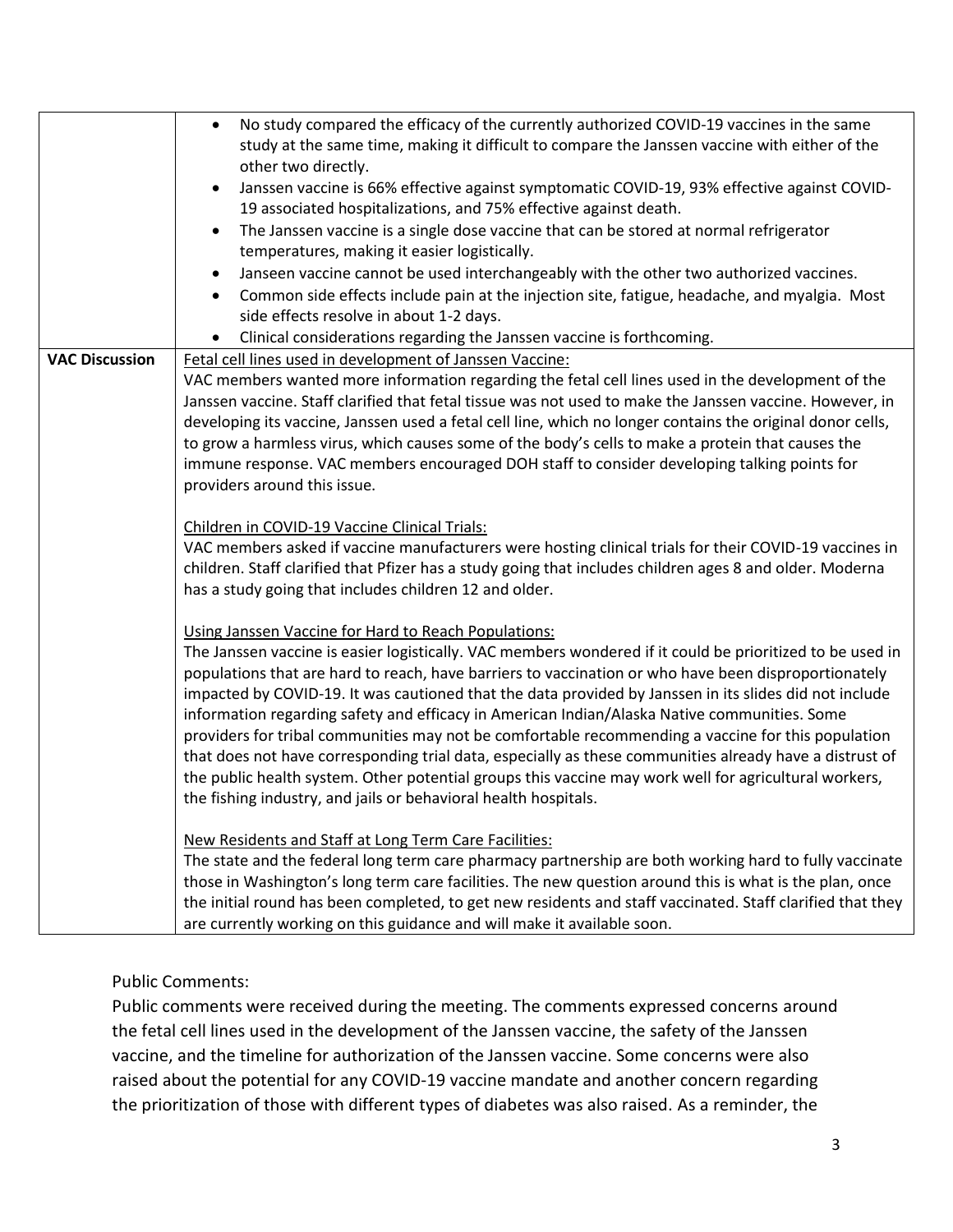|                       | No study compared the efficacy of the currently authorized COVID-19 vaccines in the same<br>$\bullet$<br>study at the same time, making it difficult to compare the Janssen vaccine with either of the<br>other two directly.<br>Janssen vaccine is 66% effective against symptomatic COVID-19, 93% effective against COVID-<br>٠<br>19 associated hospitalizations, and 75% effective against death.<br>The Janssen vaccine is a single dose vaccine that can be stored at normal refrigerator<br>$\bullet$<br>temperatures, making it easier logistically.<br>Janseen vaccine cannot be used interchangeably with the other two authorized vaccines.<br>Common side effects include pain at the injection site, fatigue, headache, and myalgia. Most<br>$\bullet$<br>side effects resolve in about 1-2 days.                                                                   |
|-----------------------|----------------------------------------------------------------------------------------------------------------------------------------------------------------------------------------------------------------------------------------------------------------------------------------------------------------------------------------------------------------------------------------------------------------------------------------------------------------------------------------------------------------------------------------------------------------------------------------------------------------------------------------------------------------------------------------------------------------------------------------------------------------------------------------------------------------------------------------------------------------------------------|
|                       | Clinical considerations regarding the Janssen vaccine is forthcoming.<br>٠                                                                                                                                                                                                                                                                                                                                                                                                                                                                                                                                                                                                                                                                                                                                                                                                       |
| <b>VAC Discussion</b> | Fetal cell lines used in development of Janssen Vaccine:<br>VAC members wanted more information regarding the fetal cell lines used in the development of the<br>Janssen vaccine. Staff clarified that fetal tissue was not used to make the Janssen vaccine. However, in<br>developing its vaccine, Janssen used a fetal cell line, which no longer contains the original donor cells,<br>to grow a harmless virus, which causes some of the body's cells to make a protein that causes the<br>immune response. VAC members encouraged DOH staff to consider developing talking points for<br>providers around this issue.                                                                                                                                                                                                                                                      |
|                       | Children in COVID-19 Vaccine Clinical Trials:<br>VAC members asked if vaccine manufacturers were hosting clinical trials for their COVID-19 vaccines in<br>children. Staff clarified that Pfizer has a study going that includes children ages 8 and older. Moderna<br>has a study going that includes children 12 and older.                                                                                                                                                                                                                                                                                                                                                                                                                                                                                                                                                    |
|                       | Using Janssen Vaccine for Hard to Reach Populations:<br>The Janssen vaccine is easier logistically. VAC members wondered if it could be prioritized to be used in<br>populations that are hard to reach, have barriers to vaccination or who have been disproportionately<br>impacted by COVID-19. It was cautioned that the data provided by Janssen in its slides did not include<br>information regarding safety and efficacy in American Indian/Alaska Native communities. Some<br>providers for tribal communities may not be comfortable recommending a vaccine for this population<br>that does not have corresponding trial data, especially as these communities already have a distrust of<br>the public health system. Other potential groups this vaccine may work well for agricultural workers,<br>the fishing industry, and jails or behavioral health hospitals. |
|                       | New Residents and Staff at Long Term Care Facilities:<br>The state and the federal long term care pharmacy partnership are both working hard to fully vaccinate<br>those in Washington's long term care facilities. The new question around this is what is the plan, once<br>the initial round has been completed, to get new residents and staff vaccinated. Staff clarified that they<br>are currently working on this guidance and will make it available soon.                                                                                                                                                                                                                                                                                                                                                                                                              |

Public Comments:

Public comments were received during the meeting. The comments expressed concerns around the fetal cell lines used in the development of the Janssen vaccine, the safety of the Janssen vaccine, and the timeline for authorization of the Janssen vaccine. Some concerns were also raised about the potential for any COVID-19 vaccine mandate and another concern regarding the prioritization of those with different types of diabetes was also raised. As a reminder, the